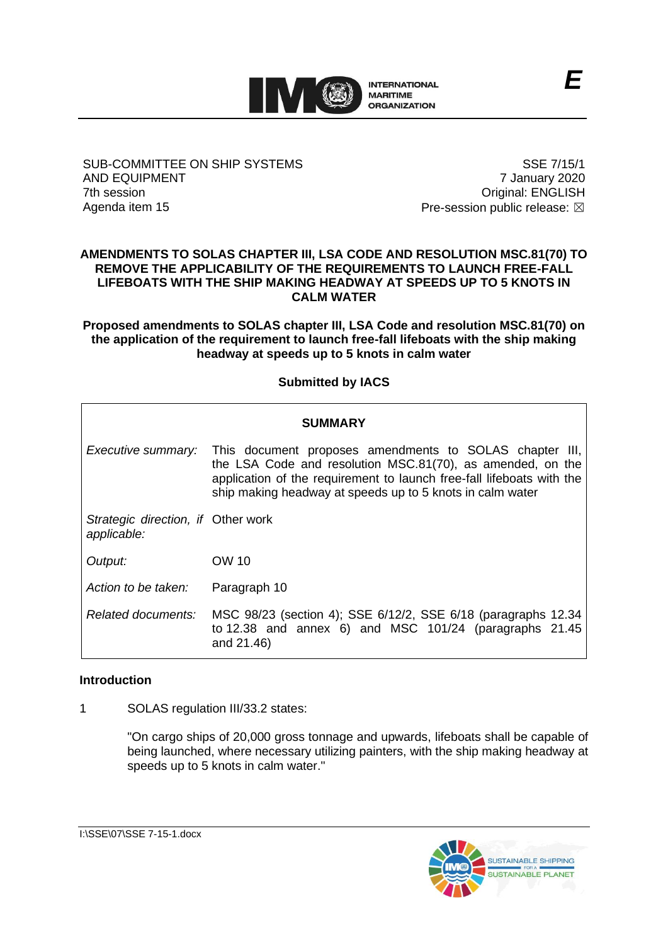

#### SUB-COMMITTEE ON SHIP SYSTEMS AND EQUIPMENT 7th session Agenda item 15

SSE 7/15/1 7 January 2020 Original: ENGLISH Pre-session public release:  $\boxtimes$ 

#### **AMENDMENTS TO SOLAS CHAPTER III, LSA CODE AND RESOLUTION MSC.81(70) TO REMOVE THE APPLICABILITY OF THE REQUIREMENTS TO LAUNCH FREE-FALL LIFEBOATS WITH THE SHIP MAKING HEADWAY AT SPEEDS UP TO 5 KNOTS IN CALM WATER**

**Proposed amendments to SOLAS chapter III, LSA Code and resolution MSC.81(70) on the application of the requirement to launch free-fall lifeboats with the ship making headway at speeds up to 5 knots in calm water**

## **Submitted by IACS**

# **SUMMARY** *Executive summary:* This document proposes amendments to SOLAS chapter III, the LSA Code and resolution MSC.81(70), as amended, on the application of the requirement to launch free-fall lifeboats with the ship making headway at speeds up to 5 knots in calm water *Strategic direction, if*  Other work *applicable: Output:* OW 10 *Action to be taken:* Paragraph 10 *Related documents:* MSC 98/23 (section 4); SSE 6/12/2, SSE 6/18 (paragraphs 12.34 to 12.38 and annex 6) and MSC 101/24 (paragraphs 21.45 and 21.46)

#### **Introduction**

1 SOLAS regulation III/33.2 states:

"On cargo ships of 20,000 gross tonnage and upwards, lifeboats shall be capable of being launched, where necessary utilizing painters, with the ship making headway at speeds up to 5 knots in calm water."

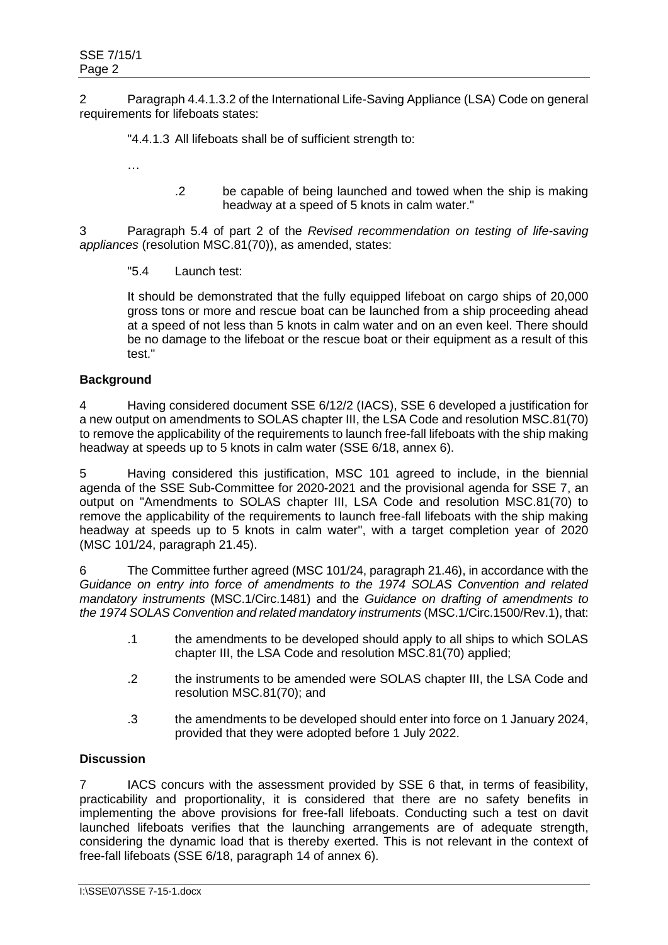2 Paragraph 4.4.1.3.2 of the International Life-Saving Appliance (LSA) Code on general requirements for lifeboats states:

"4.4.1.3 All lifeboats shall be of sufficient strength to:

- …
- .2 be capable of being launched and towed when the ship is making headway at a speed of 5 knots in calm water."

3 Paragraph 5.4 of part 2 of the *Revised recommendation on testing of life-saving appliances* (resolution MSC.81(70)), as amended, states:

"5.4 Launch test:

It should be demonstrated that the fully equipped lifeboat on cargo ships of 20,000 gross tons or more and rescue boat can be launched from a ship proceeding ahead at a speed of not less than 5 knots in calm water and on an even keel. There should be no damage to the lifeboat or the rescue boat or their equipment as a result of this test."

#### **Background**

4 Having considered document SSE 6/12/2 (IACS), SSE 6 developed a justification for a new output on amendments to SOLAS chapter III, the LSA Code and resolution MSC.81(70) to remove the applicability of the requirements to launch free-fall lifeboats with the ship making headway at speeds up to 5 knots in calm water (SSE 6/18, annex 6).

5 Having considered this justification, MSC 101 agreed to include, in the biennial agenda of the SSE Sub-Committee for 2020-2021 and the provisional agenda for SSE 7, an output on "Amendments to SOLAS chapter III, LSA Code and resolution MSC.81(70) to remove the applicability of the requirements to launch free-fall lifeboats with the ship making headway at speeds up to 5 knots in calm water", with a target completion year of 2020 (MSC 101/24, paragraph 21.45).

6 The Committee further agreed (MSC 101/24, paragraph 21.46), in accordance with the *Guidance on entry into force of amendments to the 1974 SOLAS Convention and related mandatory instruments* (MSC.1/Circ.1481) and the *Guidance on drafting of amendments to the 1974 SOLAS Convention and related mandatory instruments* (MSC.1/Circ.1500/Rev.1), that:

- .1 the amendments to be developed should apply to all ships to which SOLAS chapter III, the LSA Code and resolution MSC.81(70) applied;
- .2 the instruments to be amended were SOLAS chapter III, the LSA Code and resolution MSC.81(70); and
- .3 the amendments to be developed should enter into force on 1 January 2024, provided that they were adopted before 1 July 2022.

#### **Discussion**

7 IACS concurs with the assessment provided by SSE 6 that, in terms of feasibility, practicability and proportionality, it is considered that there are no safety benefits in implementing the above provisions for free-fall lifeboats. Conducting such a test on davit launched lifeboats verifies that the launching arrangements are of adequate strength, considering the dynamic load that is thereby exerted. This is not relevant in the context of free-fall lifeboats (SSE 6/18, paragraph 14 of annex 6).